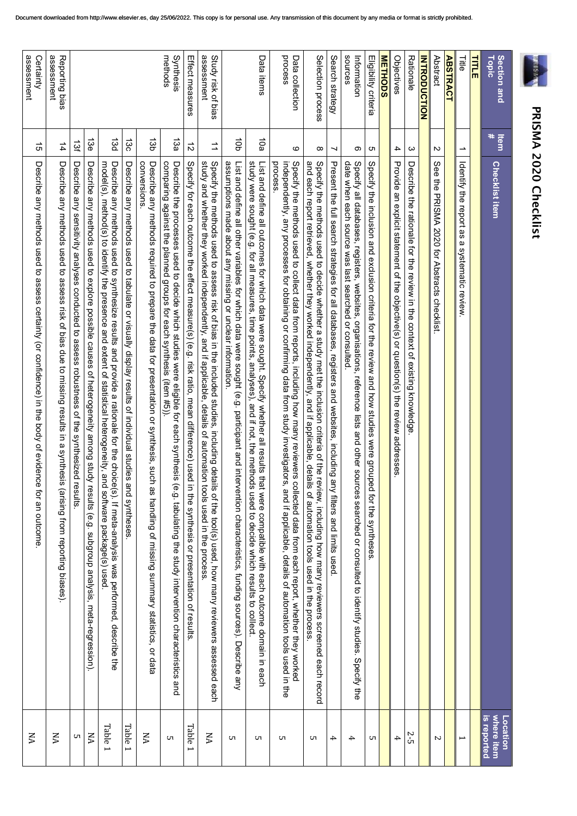| J                      |
|------------------------|
|                        |
| i                      |
|                        |
| י                      |
| ֠                      |
|                        |
|                        |
| Ì                      |
| ć                      |
|                        |
|                        |
| ä.<br>í                |
| <b>Service Service</b> |
| I                      |
|                        |
| ı                      |
| ı                      |
|                        |

|                                  |           | <b>PRISMA 2020 Checklist</b>                                                                                                                                                                                                                                                                                 |                                       |
|----------------------------------|-----------|--------------------------------------------------------------------------------------------------------------------------------------------------------------------------------------------------------------------------------------------------------------------------------------------------------------|---------------------------------------|
| Topic<br>Section and             | ltem<br># | <b>Checklist item</b>                                                                                                                                                                                                                                                                                        | where item<br>is reported<br>Location |
| <b>TITLE</b>                     |           |                                                                                                                                                                                                                                                                                                              |                                       |
| 딇                                | ∸         | Identify the report as<br>$\boldsymbol{\omega}$<br>systematic review                                                                                                                                                                                                                                         | $\overline{\phantom{0}}$              |
| <b>ABSTRACT</b>                  |           |                                                                                                                                                                                                                                                                                                              |                                       |
| Abstract                         | N         | See the PRISMA 2020 for Abstracts checklist:                                                                                                                                                                                                                                                                 | $\sim$                                |
| <b>INTRODUCTION</b>              |           |                                                                                                                                                                                                                                                                                                              |                                       |
| Rationale                        | ω         | Describe the rationale for the review in the context of existing knowledge                                                                                                                                                                                                                                   | 2-5                                   |
| Objectives                       | 4         | Provide an explicit statement of the objective(s) or question(s) the review addresses.                                                                                                                                                                                                                       | 4                                     |
| <b>METHODS</b>                   |           |                                                                                                                                                                                                                                                                                                              |                                       |
| Eligibility criteria             | c         | Specify the inclusion and exclusion criteria for the review and how studies were grouped for the syntheses                                                                                                                                                                                                   | UТ                                    |
| sources<br>Information           | တ         | Specify all databases, registers,<br>date when each source was last searched or consulted<br>websites,<br>organisations, reference lists and other sources searched or consulted to identify studies. Specify the                                                                                            | 4                                     |
| Search strategy                  | ⊣         | Present the full search strategies for all databases, registers and websites, including<br>any filters and limits used                                                                                                                                                                                       | 4                                     |
| Selection process                | ထ         | and each report retrieved, whether they worked independently, and if applicable, details of automation tools used in the process<br>Specify the methods used to decide whether a study met the inclusion criteria of the review, including how many reviewers screened each record                           | UТ                                    |
| process<br>Data collection       | $\circ$   | process<br>independently, any processes for obtaining or confirming data from study investigators, and if applicable, details of automation tools used in the<br>Specify the methods used to collect data from reports, including how many reviewers<br>collected data from each report, whether they worked | UТ                                    |
| Data items                       | 10a       | study were sought (e.g. for all measures, time points, analyses), and if not, the methods used to decide which results to collect<br>List and define all outcomes for which data were sought. Specify whether all results that were compatible with each outcome domain in each                              | UТ                                    |
|                                  | ap        | assumptions made about any missing or unclear information.<br>List and define all other variables for which data were sought (e.g. participant and intervention characteristics, funding sources). Describe any                                                                                              | UП                                    |
| assessment<br>Study risk of bias | ⇉         | Specify the methods used to assess risk of bias in the included studies, including details of the tool(s) used, how many reviewers assessed each<br>study and whether they worked independently, and if applicable, details of au                                                                            | KA                                    |
| Effect measures                  | $\vec{v}$ | Specify for each outcome the effect measure(s) (e.g. risk ratio, mean difference) used in the synthesis or presentation of results                                                                                                                                                                           | Table 1                               |
| Synthesis<br>methods             | 13a       | comparing against the planned groups for each synthesis (item #5)).<br>Describe the processes used to decide which studies were eligible for each synthesis<br>(e.g. tabulating the study intervention characteristics and                                                                                   | cл                                    |
|                                  | 13b       | conversions.<br>Describe any methods required to prepare the data for presentation or synthesis, such as handling of missing summary statistics, or data                                                                                                                                                     | ξÄ                                    |
|                                  | 130       | Describe any methods used to tabulate or visually display results of individual studies<br>and syntheses                                                                                                                                                                                                     | Table 1                               |
|                                  | 13d       | model(s), method(s) to identify the presence and extent of statistical heterogeneity, a<br>Describe any methods used to synthesize results and provide a rationale for the choice(s). If meta-analysis was performed, describe the<br>nd software package(s) used.                                           | <b>Table 1</b>                        |
|                                  | 13e       | Describe any methods used to explore possible causes of heterogeneity among study results (e.g. subgroup analysis, meta-regression).                                                                                                                                                                         | ΧA                                    |
|                                  | ਲੋਂ       | Describe any sensitivity analyses conducted to assess robustness of the synthesized<br>results                                                                                                                                                                                                               | UТ                                    |
| assessment<br>Reporting bias     | 14        | Describe any methods used to assess risk of bias due to missing results in a synthes<br>is (arising from reporting biases).                                                                                                                                                                                  | XA                                    |
| assessment<br>Certainty          | 5         | Describe any methods used to assess certainty (or confidence) in the body of evidence for an outcome                                                                                                                                                                                                         | УN                                    |